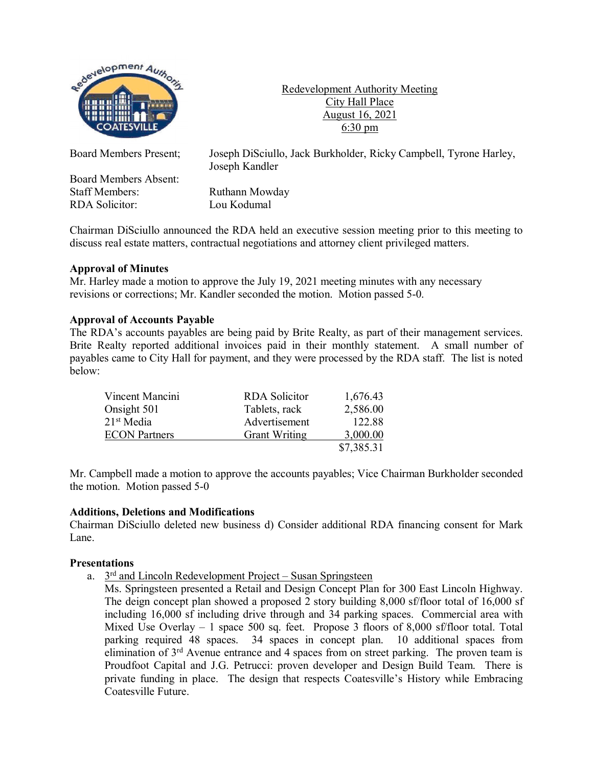

Redevelopment Authority Meeting City Hall Place August 16, 2021 6:30 pm

Board Members Absent: Staff Members: Ruthann Mowday RDA Solicitor: Lou Kodumal

Board Members Present; Joseph DiSciullo, Jack Burkholder, Ricky Campbell, Tyrone Harley, Joseph Kandler

Chairman DiSciullo announced the RDA held an executive session meeting prior to this meeting to discuss real estate matters, contractual negotiations and attorney client privileged matters.

# **Approval of Minutes**

Mr. Harley made a motion to approve the July 19, 2021 meeting minutes with any necessary revisions or corrections; Mr. Kandler seconded the motion. Motion passed 5-0.

# **Approval of Accounts Payable**

The RDA's accounts payables are being paid by Brite Realty, as part of their management services. Brite Realty reported additional invoices paid in their monthly statement. A small number of payables came to City Hall for payment, and they were processed by the RDA staff. The list is noted below:

| Vincent Mancini      | <b>RDA</b> Solicitor | 1,676.43   |
|----------------------|----------------------|------------|
| Onsight 501          | Tablets, rack        | 2,586.00   |
| $21st$ Media         | Advertisement        | 122.88     |
| <b>ECON</b> Partners | <b>Grant Writing</b> | 3,000.00   |
|                      |                      | \$7,385.31 |

Mr. Campbell made a motion to approve the accounts payables; Vice Chairman Burkholder seconded the motion. Motion passed 5-0

# **Additions, Deletions and Modifications**

Chairman DiSciullo deleted new business d) Consider additional RDA financing consent for Mark Lane.

# **Presentations**

a.  $3<sup>rd</sup>$  and Lincoln Redevelopment Project – Susan Springsteen

Ms. Springsteen presented a Retail and Design Concept Plan for 300 East Lincoln Highway. The deign concept plan showed a proposed 2 story building 8,000 sf/floor total of 16,000 sf including 16,000 sf including drive through and 34 parking spaces. Commercial area with Mixed Use Overlay  $-1$  space 500 sq. feet. Propose 3 floors of 8,000 sf/floor total. Total parking required 48 spaces. 34 spaces in concept plan. 10 additional spaces from elimination of  $3<sup>rd</sup>$  Avenue entrance and 4 spaces from on street parking. The proven team is Proudfoot Capital and J.G. Petrucci: proven developer and Design Build Team. There is private funding in place. The design that respects Coatesville's History while Embracing Coatesville Future.